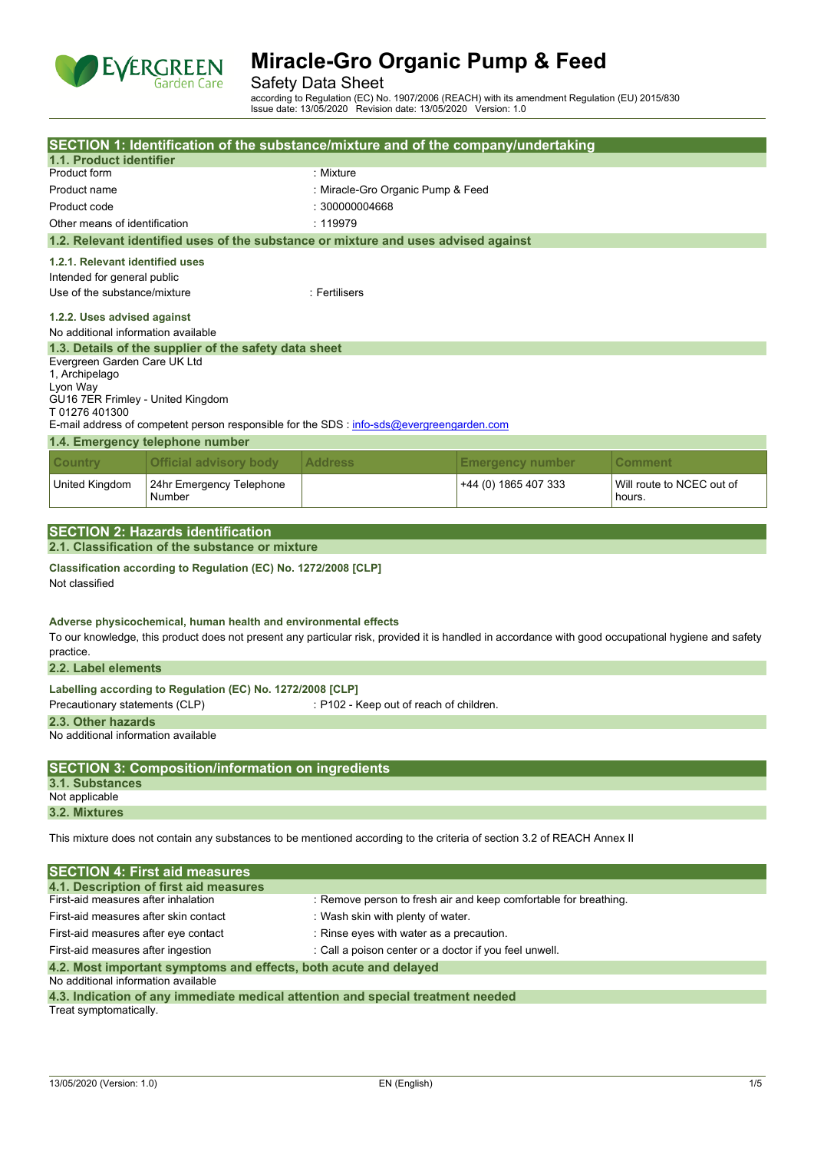

### Safety Data Sheet

according to Regulation (EC) No. 1907/2006 (REACH) with its amendment Regulation (EU) 2015/830 Issue date: 13/05/2020 Revision date: 13/05/2020 Version: 1.0

|                                                                                                                         | SECTION 1: Identification of the substance/mixture and of the company/undertaking                                                                                                                                      |                                         |                                   |                                     |  |  |
|-------------------------------------------------------------------------------------------------------------------------|------------------------------------------------------------------------------------------------------------------------------------------------------------------------------------------------------------------------|-----------------------------------------|-----------------------------------|-------------------------------------|--|--|
| 1.1. Product identifier                                                                                                 |                                                                                                                                                                                                                        |                                         |                                   |                                     |  |  |
| Product form                                                                                                            |                                                                                                                                                                                                                        | : Mixture                               |                                   |                                     |  |  |
| Product name                                                                                                            |                                                                                                                                                                                                                        |                                         | : Miracle-Gro Organic Pump & Feed |                                     |  |  |
| Product code                                                                                                            |                                                                                                                                                                                                                        | : 300000004668                          |                                   |                                     |  |  |
| Other means of identification                                                                                           |                                                                                                                                                                                                                        | : 119979                                |                                   |                                     |  |  |
|                                                                                                                         | 1.2. Relevant identified uses of the substance or mixture and uses advised against                                                                                                                                     |                                         |                                   |                                     |  |  |
|                                                                                                                         | 1.2.1. Relevant identified uses                                                                                                                                                                                        |                                         |                                   |                                     |  |  |
| Intended for general public                                                                                             |                                                                                                                                                                                                                        |                                         |                                   |                                     |  |  |
| Use of the substance/mixture                                                                                            |                                                                                                                                                                                                                        | : Fertilisers                           |                                   |                                     |  |  |
| 1.2.2. Uses advised against                                                                                             |                                                                                                                                                                                                                        |                                         |                                   |                                     |  |  |
| No additional information available                                                                                     |                                                                                                                                                                                                                        |                                         |                                   |                                     |  |  |
|                                                                                                                         | 1.3. Details of the supplier of the safety data sheet                                                                                                                                                                  |                                         |                                   |                                     |  |  |
| Evergreen Garden Care UK Ltd                                                                                            |                                                                                                                                                                                                                        |                                         |                                   |                                     |  |  |
| 1, Archipelago                                                                                                          |                                                                                                                                                                                                                        |                                         |                                   |                                     |  |  |
| Lyon Way<br>GU16 7ER Frimley - United Kingdom                                                                           |                                                                                                                                                                                                                        |                                         |                                   |                                     |  |  |
| T01276401300                                                                                                            |                                                                                                                                                                                                                        |                                         |                                   |                                     |  |  |
|                                                                                                                         | E-mail address of competent person responsible for the SDS : info-sds@evergreengarden.com                                                                                                                              |                                         |                                   |                                     |  |  |
|                                                                                                                         | 1.4. Emergency telephone number                                                                                                                                                                                        |                                         |                                   |                                     |  |  |
| <b>Country</b>                                                                                                          | <b>Official advisory body</b>                                                                                                                                                                                          | <b>Address</b>                          | <b>Emergency number</b>           | Comment                             |  |  |
| United Kingdom                                                                                                          | 24hr Emergency Telephone<br>Number                                                                                                                                                                                     |                                         | +44 (0) 1865 407 333              | Will route to NCEC out of<br>hours. |  |  |
|                                                                                                                         |                                                                                                                                                                                                                        |                                         |                                   |                                     |  |  |
|                                                                                                                         | <b>SECTION 2: Hazards identification</b>                                                                                                                                                                               |                                         |                                   |                                     |  |  |
|                                                                                                                         | 2.1. Classification of the substance or mixture                                                                                                                                                                        |                                         |                                   |                                     |  |  |
| Not classified                                                                                                          | Classification according to Regulation (EC) No. 1272/2008 [CLP]                                                                                                                                                        |                                         |                                   |                                     |  |  |
| practice.                                                                                                               | Adverse physicochemical, human health and environmental effects<br>To our knowledge, this product does not present any particular risk, provided it is handled in accordance with good occupational hygiene and safety |                                         |                                   |                                     |  |  |
| 2.2. Label elements                                                                                                     |                                                                                                                                                                                                                        |                                         |                                   |                                     |  |  |
| Precautionary statements (CLP)                                                                                          | Labelling according to Regulation (EC) No. 1272/2008 [CLP]                                                                                                                                                             | : P102 - Keep out of reach of children. |                                   |                                     |  |  |
| 2.3. Other hazards<br>No additional information available                                                               |                                                                                                                                                                                                                        |                                         |                                   |                                     |  |  |
|                                                                                                                         |                                                                                                                                                                                                                        |                                         |                                   |                                     |  |  |
|                                                                                                                         | <b>SECTION 3: Composition/information on ingredients</b>                                                                                                                                                               |                                         |                                   |                                     |  |  |
| 3.1. Substances<br>Not applicable                                                                                       |                                                                                                                                                                                                                        |                                         |                                   |                                     |  |  |
| 3.2. Mixtures                                                                                                           |                                                                                                                                                                                                                        |                                         |                                   |                                     |  |  |
|                                                                                                                         |                                                                                                                                                                                                                        |                                         |                                   |                                     |  |  |
| This mixture does not contain any substances to be mentioned according to the criteria of section 3.2 of REACH Annex II |                                                                                                                                                                                                                        |                                         |                                   |                                     |  |  |
| <b>SECTION 4: First aid measures</b>                                                                                    |                                                                                                                                                                                                                        |                                         |                                   |                                     |  |  |
| 4.1. Description of first aid measures                                                                                  |                                                                                                                                                                                                                        |                                         |                                   |                                     |  |  |
| First-aid measures after inhalation<br>: Remove person to fresh air and keep comfortable for breathing.                 |                                                                                                                                                                                                                        |                                         |                                   |                                     |  |  |
| First-aid measures after skin contact<br>: Wash skin with plenty of water.                                              |                                                                                                                                                                                                                        |                                         |                                   |                                     |  |  |
| First-aid measures after eye contact<br>: Rinse eyes with water as a precaution.                                        |                                                                                                                                                                                                                        |                                         |                                   |                                     |  |  |
|                                                                                                                         | : Call a poison center or a doctor if you feel unwell.<br>First-aid measures after ingestion                                                                                                                           |                                         |                                   |                                     |  |  |
| 4.2. Most important symptoms and effects, both acute and delayed<br>No additional information available                 |                                                                                                                                                                                                                        |                                         |                                   |                                     |  |  |
|                                                                                                                         | 4.3. Indication of any immediate medical attention and special treatment needed                                                                                                                                        |                                         |                                   |                                     |  |  |

Treat symptomatically.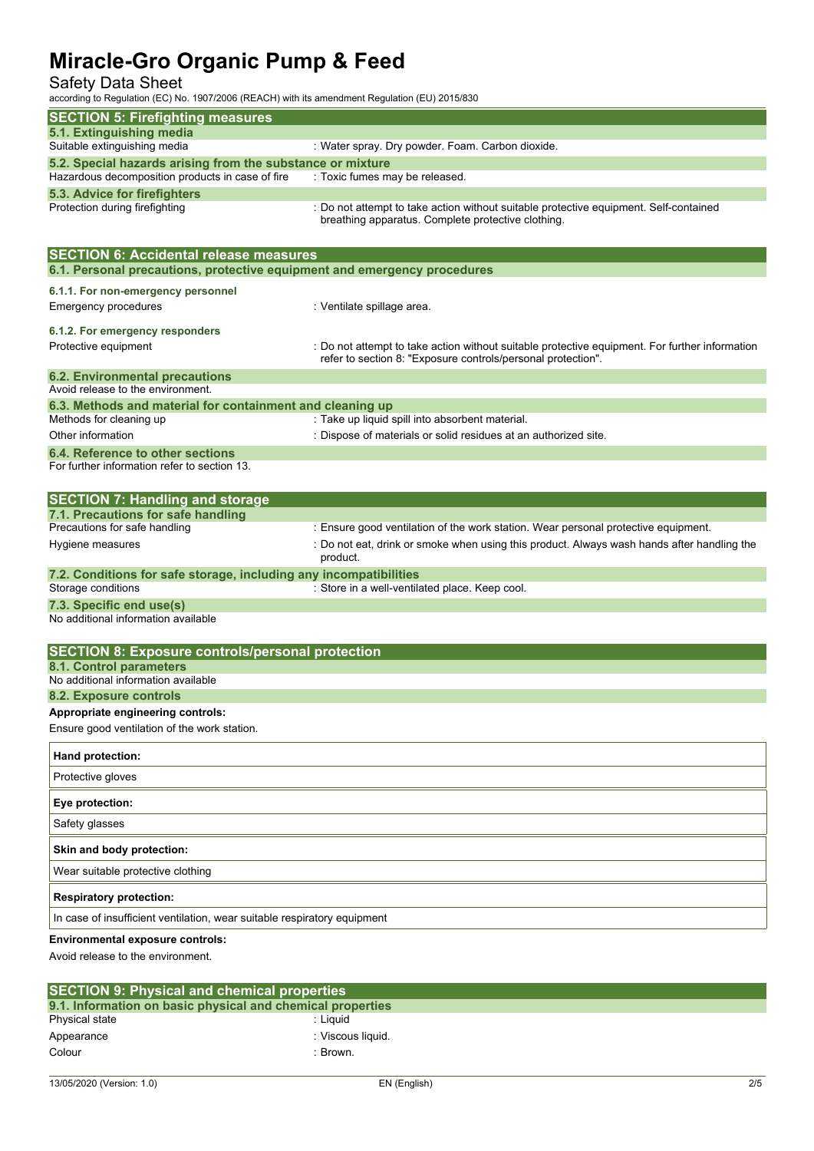Safety Data Sheet

according to Regulation (EC) No. 1907/2006 (REACH) with its amendment Regulation (EU) 2015/830

| according to regulation (EO) No. 1907/2000 (NE/NOTI) with its among number regulat |                                                                                                |
|------------------------------------------------------------------------------------|------------------------------------------------------------------------------------------------|
| <b>SECTION 5: Firefighting measures</b>                                            |                                                                                                |
| 5.1. Extinguishing media                                                           |                                                                                                |
| Suitable extinguishing media                                                       | : Water spray. Dry powder. Foam. Carbon dioxide.                                               |
| 5.2. Special hazards arising from the substance or mixture                         |                                                                                                |
| Hazardous decomposition products in case of fire                                   | : Toxic fumes may be released.                                                                 |
| 5.3. Advice for firefighters                                                       | : Do not attempt to take action without suitable protective equipment. Self-contained          |
| Protection during firefighting                                                     | breathing apparatus. Complete protective clothing.                                             |
|                                                                                    |                                                                                                |
| <b>SECTION 6: Accidental release measures</b>                                      |                                                                                                |
| 6.1. Personal precautions, protective equipment and emergency procedures           |                                                                                                |
|                                                                                    |                                                                                                |
| 6.1.1. For non-emergency personnel                                                 |                                                                                                |
| <b>Emergency procedures</b>                                                        | : Ventilate spillage area.                                                                     |
| 6.1.2. For emergency responders                                                    |                                                                                                |
| Protective equipment                                                               | : Do not attempt to take action without suitable protective equipment. For further information |
|                                                                                    | refer to section 8: "Exposure controls/personal protection".                                   |
| <b>6.2. Environmental precautions</b>                                              |                                                                                                |
| Avoid release to the environment.                                                  |                                                                                                |
| 6.3. Methods and material for containment and cleaning up                          |                                                                                                |
| Methods for cleaning up                                                            | : Take up liquid spill into absorbent material.                                                |
| Other information                                                                  | : Dispose of materials or solid residues at an authorized site.                                |
| 6.4. Reference to other sections<br>For further information refer to section 13.   |                                                                                                |
|                                                                                    |                                                                                                |
|                                                                                    |                                                                                                |
| <b>SECTION 7: Handling and storage</b><br>7.1. Precautions for safe handling       |                                                                                                |
| Precautions for safe handling                                                      | : Ensure good ventilation of the work station. Wear personal protective equipment.             |
| Hygiene measures                                                                   | : Do not eat, drink or smoke when using this product. Always wash hands after handling the     |
|                                                                                    | product.                                                                                       |
| 7.2. Conditions for safe storage, including any incompatibilities                  |                                                                                                |
| Storage conditions                                                                 | : Store in a well-ventilated place. Keep cool.                                                 |
| 7.3. Specific end use(s)                                                           |                                                                                                |
| No additional information available                                                |                                                                                                |
|                                                                                    |                                                                                                |
| <b>SECTION 8: Exposure controls/personal protection</b>                            |                                                                                                |
| 8.1. Control parameters                                                            |                                                                                                |
| No additional information available                                                |                                                                                                |
| 8.2. Exposure controls                                                             |                                                                                                |
| Appropriate engineering controls:                                                  |                                                                                                |
| Ensure good ventilation of the work station.                                       |                                                                                                |
| Hand protection:                                                                   |                                                                                                |
| Protective gloves                                                                  |                                                                                                |
| Eye protection:                                                                    |                                                                                                |
| Safety glasses                                                                     |                                                                                                |
| Skin and body protection:                                                          |                                                                                                |
| Wear suitable protective clothing                                                  |                                                                                                |
| <b>Respiratory protection:</b>                                                     |                                                                                                |
| In case of insufficient ventilation, wear suitable respiratory equipment           |                                                                                                |
| Environmental exposure controls:<br>Avoid release to the environment.              |                                                                                                |

| <b>SECTION 9: Physical and chemical properties</b>         |                   |  |  |
|------------------------------------------------------------|-------------------|--|--|
| 9.1. Information on basic physical and chemical properties |                   |  |  |
| Physical state                                             | : Liauid          |  |  |
| Appearance                                                 | : Viscous liquid. |  |  |
| Colour                                                     | Brown.            |  |  |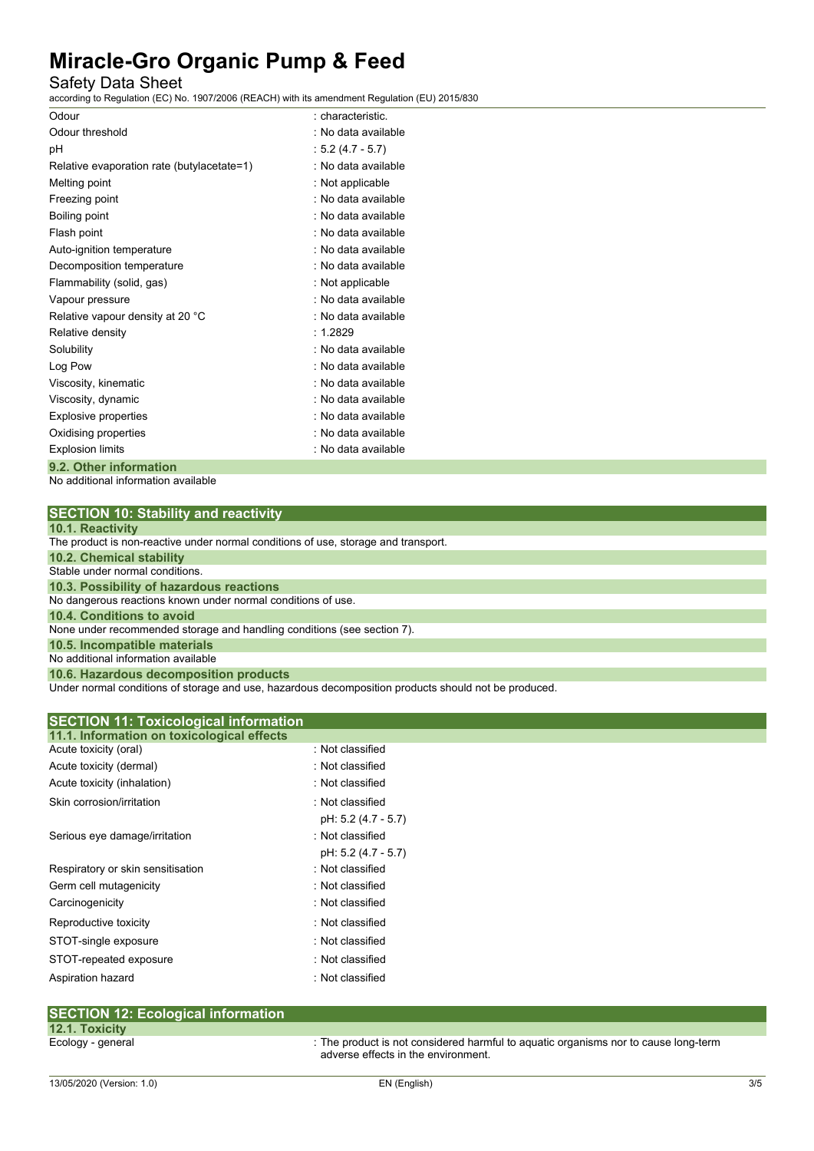### Safety Data Sheet

according to Regulation (EC) No. 1907/2006 (REACH) with its amendment Regulation (EU) 2015/830

| Odour                                                                                                                                                                                                                                                                                                                                                                                  | : characteristic.   |
|----------------------------------------------------------------------------------------------------------------------------------------------------------------------------------------------------------------------------------------------------------------------------------------------------------------------------------------------------------------------------------------|---------------------|
| Odour threshold                                                                                                                                                                                                                                                                                                                                                                        | : No data available |
| рH                                                                                                                                                                                                                                                                                                                                                                                     | $: 5.2(4.7 - 5.7)$  |
| Relative evaporation rate (butylacetate=1)                                                                                                                                                                                                                                                                                                                                             | : No data available |
| Melting point                                                                                                                                                                                                                                                                                                                                                                          | : Not applicable    |
| Freezing point                                                                                                                                                                                                                                                                                                                                                                         | : No data available |
| Boiling point                                                                                                                                                                                                                                                                                                                                                                          | : No data available |
| Flash point                                                                                                                                                                                                                                                                                                                                                                            | : No data available |
| Auto-ignition temperature                                                                                                                                                                                                                                                                                                                                                              | : No data available |
| Decomposition temperature                                                                                                                                                                                                                                                                                                                                                              | : No data available |
| Flammability (solid, gas)                                                                                                                                                                                                                                                                                                                                                              | : Not applicable    |
| Vapour pressure                                                                                                                                                                                                                                                                                                                                                                        | . No data available |
| Relative vapour density at 20 °C                                                                                                                                                                                                                                                                                                                                                       | : No data available |
| Relative density                                                                                                                                                                                                                                                                                                                                                                       | : 1.2829            |
| Solubility                                                                                                                                                                                                                                                                                                                                                                             | : No data available |
| Log Pow                                                                                                                                                                                                                                                                                                                                                                                | : No data available |
| Viscosity, kinematic                                                                                                                                                                                                                                                                                                                                                                   | : No data available |
| Viscosity, dynamic                                                                                                                                                                                                                                                                                                                                                                     | : No data available |
| <b>Explosive properties</b>                                                                                                                                                                                                                                                                                                                                                            | : No data available |
| Oxidising properties                                                                                                                                                                                                                                                                                                                                                                   | : No data available |
| <b>Explosion limits</b>                                                                                                                                                                                                                                                                                                                                                                | : No data available |
| $\bigcap_{i=1}^n \bigcap_{i=1}^n A_i = \bigcup_{i=1}^n A_i = \bigcup_{i=1}^n A_i = \bigcup_{i=1}^n A_i = \bigcup_{i=1}^n A_i = \bigcup_{i=1}^n A_i = \bigcup_{i=1}^n A_i = \bigcup_{i=1}^n A_i = \bigcup_{i=1}^n A_i = \bigcup_{i=1}^n A_i = \bigcup_{i=1}^n A_i = \bigcup_{i=1}^n A_i = \bigcup_{i=1}^n A_i = \bigcup_{i=1}^n A_i = \bigcup_{i=1}^n A_i = \bigcup_{i=1}^n A_i = \big$ |                     |

### **9.2. Other information**

No additional information available

| <b>SECTION 10: Stability and reactivity</b>                                                         |
|-----------------------------------------------------------------------------------------------------|
| 10.1. Reactivity                                                                                    |
| The product is non-reactive under normal conditions of use, storage and transport.                  |
| <b>10.2. Chemical stability</b>                                                                     |
| Stable under normal conditions.                                                                     |
| 10.3. Possibility of hazardous reactions                                                            |
| No dangerous reactions known under normal conditions of use.                                        |
| 10.4. Conditions to avoid                                                                           |
| None under recommended storage and handling conditions (see section 7).                             |
| 10.5. Incompatible materials                                                                        |
| No additional information available                                                                 |
| 10.6. Hazardous decomposition products                                                              |
| Under nermal conditions of stereos and use hereraleus decomposition products should not be produced |

ider normal conditions of storage and use, hazardous decomposition products should not be produced.

| <b>SECTION 11: Toxicological information</b> |                     |  |
|----------------------------------------------|---------------------|--|
| 11.1. Information on toxicological effects   |                     |  |
| Acute toxicity (oral)                        | : Not classified    |  |
| Acute toxicity (dermal)                      | : Not classified    |  |
| Acute toxicity (inhalation)                  | : Not classified    |  |
| Skin corrosion/irritation                    | · Not classified    |  |
|                                              | pH: 5.2 (4.7 - 5.7) |  |
| Serious eye damage/irritation                | : Not classified    |  |
|                                              | pH: 5.2 (4.7 - 5.7) |  |
| Respiratory or skin sensitisation            | : Not classified    |  |
| Germ cell mutagenicity                       | : Not classified    |  |
| Carcinogenicity                              | : Not classified    |  |
| Reproductive toxicity                        | : Not classified    |  |
| STOT-single exposure                         | · Not classified    |  |
| STOT-repeated exposure                       | Not classified      |  |
| Aspiration hazard                            | : Not classified    |  |

#### **SECTION 12: Ecological information 12.1. Toxicity** Ecology - general interval in the product is not considered harmful to aquatic organisms nor to cause long-term adverse effects in the environment.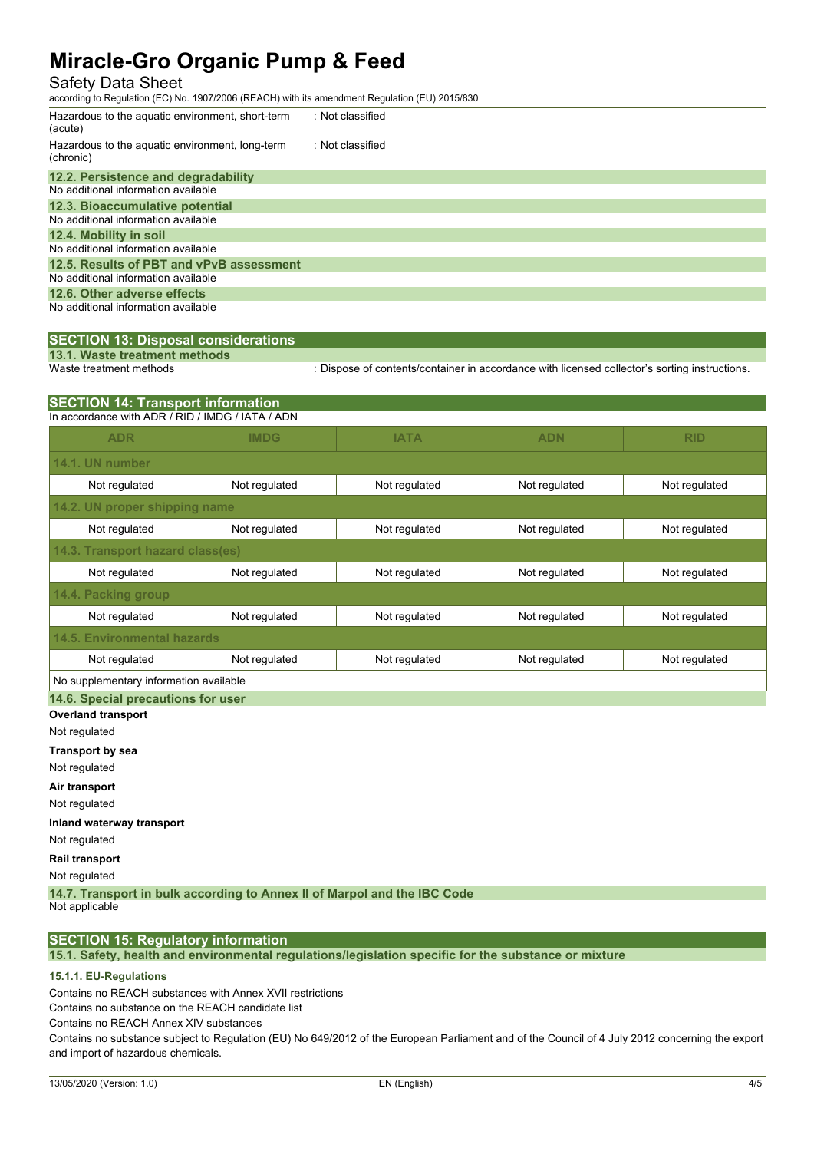### Safety Data Sheet

according to Regulation (EC) No. 1907/2006 (REACH) with its amendment Regulation (EU) 2015/830

| Hazardous to the aquatic environment, short-term<br>(acute)  | : Not classified |  |  |
|--------------------------------------------------------------|------------------|--|--|
| Hazardous to the aquatic environment, long-term<br>(chronic) | : Not classified |  |  |
| 12.2. Persistence and degradability                          |                  |  |  |
| No additional information available                          |                  |  |  |
| 12.3. Bioaccumulative potential                              |                  |  |  |
| No additional information available                          |                  |  |  |
| 12.4. Mobility in soil                                       |                  |  |  |
| No additional information available                          |                  |  |  |
| 12.5. Results of PBT and vPvB assessment                     |                  |  |  |
| No additional information available                          |                  |  |  |
| 12.6. Other adverse effects                                  |                  |  |  |
| No additional information available                          |                  |  |  |

## **SECTION 13: Disposal considerations**

**13.1. Waste treatment methods**

: Dispose of contents/container in accordance with licensed collector's sorting instructions.

| <b>SECTION 14: Transport information</b>         |               |               |               |               |  |  |  |  |
|--------------------------------------------------|---------------|---------------|---------------|---------------|--|--|--|--|
| In accordance with ADR / RID / IMDG / IATA / ADN |               |               |               |               |  |  |  |  |
| <b>ADR</b>                                       | <b>IMDG</b>   | <b>IATA</b>   | <b>ADN</b>    | <b>RID</b>    |  |  |  |  |
| 14.1. UN number                                  |               |               |               |               |  |  |  |  |
| Not regulated                                    | Not regulated | Not regulated | Not regulated | Not regulated |  |  |  |  |
| 14.2. UN proper shipping name                    |               |               |               |               |  |  |  |  |
| Not regulated                                    | Not regulated | Not regulated | Not regulated | Not regulated |  |  |  |  |
| 14.3. Transport hazard class(es)                 |               |               |               |               |  |  |  |  |
| Not regulated                                    | Not regulated | Not regulated | Not regulated | Not regulated |  |  |  |  |
| <b>14.4. Packing group</b>                       |               |               |               |               |  |  |  |  |
| Not regulated                                    | Not regulated | Not regulated | Not regulated | Not regulated |  |  |  |  |
| 14.5. Environmental hazards                      |               |               |               |               |  |  |  |  |
| Not regulated                                    | Not regulated | Not regulated | Not regulated | Not regulated |  |  |  |  |
| No supplementary information available           |               |               |               |               |  |  |  |  |

**14.6. Special precautions for user**

**Overland transport**

Not regulated

**Transport by sea**

Not regulated

**Air transport**

Not regulated

**Inland waterway transport** Not regulated

**Rail transport**

Not regulated

**14.7. Transport in bulk according to Annex II of Marpol and the IBC Code**

Not applicable

### **SECTION 15: Regulatory information**

**15.1. Safety, health and environmental regulations/legislation specific for the substance or mixture**

#### **15.1.1. EU-Regulations**

Contains no REACH substances with Annex XVII restrictions

Contains no substance on the REACH candidate list

Contains no REACH Annex XIV substances

Contains no substance subject to Regulation (EU) No 649/2012 of the European Parliament and of the Council of 4 July 2012 concerning the export and import of hazardous chemicals.